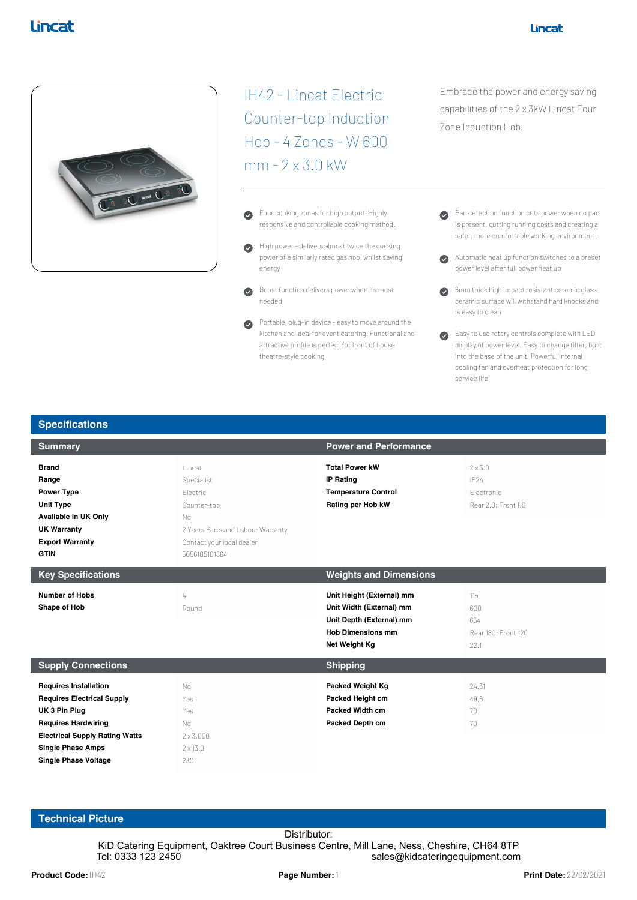

IH42 - Lincat Electric Counter-top Induction Hob - 4 Zones - W 600  $mm - 2 \times 3.0$  kW

- Four cooking zones for high output. Highly responsive and controllable cooking method.
- High power delivers almost twice the cooking  $\bullet$ power of a similarly rated gas hob, whilst saving energy
- $\bullet$ Boost function delivers power when its most needed
- Portable, plug-in device easy to move around the  $\bullet$ kitchen and ideal for event catering. Functional and attractive profile is perfect for front of house theatre-style cooking

Embrace the power and energy saving capabilities of the 2 x 3kW Lincat Four Zone Induction Hob.

- Pan detection function cuts power when no pan is present, cutting running costs and creating a safer, more comfortable working environment.
- Automatic heat up function switches to a preset power level after full power heat up
- 6mm thick high impact resistant ceramic glass ceramic surface will withstand hard knocks and is easy to clean
- Easy to use rotary controls complete with LED display of power level. Easy to change filter, built into the base of the unit. Powerful internal cooling fan and overheat protection for long service life

| <b>Summary</b>                                                                                                                                            |                                                                                                                                          | <b>Power and Performance</b>                                                                                                   |                                                              |
|-----------------------------------------------------------------------------------------------------------------------------------------------------------|------------------------------------------------------------------------------------------------------------------------------------------|--------------------------------------------------------------------------------------------------------------------------------|--------------------------------------------------------------|
| <b>Brand</b><br>Range<br><b>Power Type</b><br><b>Unit Type</b><br>Available in UK Only<br><b>UK Warranty</b><br><b>Export Warranty</b><br><b>GTIN</b>     | Lincat<br>Specialist<br>Electric<br>Counter-top<br>No<br>2 Years Parts and Labour Warranty<br>Contact your local dealer<br>5056105101864 | <b>Total Power kW</b><br><b>IP Rating</b><br><b>Temperature Control</b><br>Rating per Hob kW                                   | $2 \times 3.0$<br>IP24<br>Flectronic.<br>Rear 2.0: Front 1.0 |
| <b>Key Specifications</b>                                                                                                                                 |                                                                                                                                          | <b>Weights and Dimensions</b>                                                                                                  |                                                              |
| <b>Number of Hobs</b><br>Shape of Hob                                                                                                                     | 4<br>Round                                                                                                                               | Unit Height (External) mm<br>Unit Width (External) mm<br>Unit Depth (External) mm<br><b>Hob Dimensions mm</b><br>Net Weight Kg | 115<br>600<br>654<br>Rear 180: Front 120<br>22.1             |
| <b>Supply Connections</b>                                                                                                                                 |                                                                                                                                          | <b>Shipping</b>                                                                                                                |                                                              |
| <b>Requires Installation</b><br><b>Requires Electrical Supply</b><br>UK 3 Pin Plug<br><b>Requires Hardwiring</b><br><b>Electrical Supply Rating Watts</b> | No<br>Yes<br>Yes<br>No<br>$2 \times 3.000$                                                                                               | <b>Packed Weight Kg</b><br>Packed Height cm<br><b>Packed Width cm</b><br><b>Packed Depth cm</b>                                | 24.31<br>49.5<br>70<br>70                                    |
| <b>Single Phase Amps</b><br><b>Single Phase Voltage</b>                                                                                                   | $2 \times 13.0$<br>230                                                                                                                   |                                                                                                                                |                                                              |

## **Technical Picture**

**Specifications**

**Product Coder Code:** IH42 **Page Number:** CHO Catering Equipment, Oaktree Court Business Centre, Mill Lane, Ness, Cheshire, CH64 8TP<br>Tel: 0333 123 2450 **Product Code:** IH42 **Product Code:** IH42 **Print Date:** 22/02/2021 KiD Catering Equipment, Oaktree Court Business Centre, Mill Lane, Ness, Cheshire, CH64 8TP Tel: 0333 123 2450 sales@kidcateringequipment.com